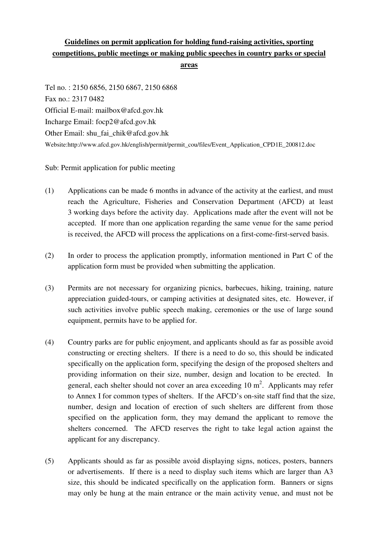## **Guidelines on permit application for holding fund-raising activities, sporting competitions, public meetings or making public speeches in country parks or special areas**

Tel no. : 2150 6856, 2150 6867, 2150 6868 Fax no.: 2317 0482 Official E-mail: mailbox@afcd.gov.hk Incharge Email: focp2@afcd.gov.hk Other Email: shu\_fai\_chik@afcd.gov.hk Website:http://www.afcd.gov.hk/english/permit/permit\_cou/files/Event\_Application\_CPD1E\_200812.doc

Sub: Permit application for public meeting

- (1) Applications can be made 6 months in advance of the activity at the earliest, and must reach the Agriculture, Fisheries and Conservation Department (AFCD) at least 3 working days before the activity day. Applications made after the event will not be accepted. If more than one application regarding the same venue for the same period is received, the AFCD will process the applications on a first-come-first-served basis.
- (2) In order to process the application promptly, information mentioned in Part C of the application form must be provided when submitting the application.
- (3) Permits are not necessary for organizing picnics, barbecues, hiking, training, nature appreciation guided-tours, or camping activities at designated sites, etc. However, if such activities involve public speech making, ceremonies or the use of large sound equipment, permits have to be applied for.
- (4) Country parks are for public enjoyment, and applicants should as far as possible avoid constructing or erecting shelters. If there is a need to do so, this should be indicated specifically on the application form, specifying the design of the proposed shelters and providing information on their size, number, design and location to be erected. In general, each shelter should not cover an area exceeding  $10 \text{ m}^2$ . Applicants may refer to Annex I for common types of shelters. If the AFCD's on-site staff find that the size, number, design and location of erection of such shelters are different from those specified on the application form, they may demand the applicant to remove the shelters concerned. The AFCD reserves the right to take legal action against the applicant for any discrepancy.
- (5) Applicants should as far as possible avoid displaying signs, notices, posters, banners or advertisements. If there is a need to display such items which are larger than A3 size, this should be indicated specifically on the application form. Banners or signs may only be hung at the main entrance or the main activity venue, and must not be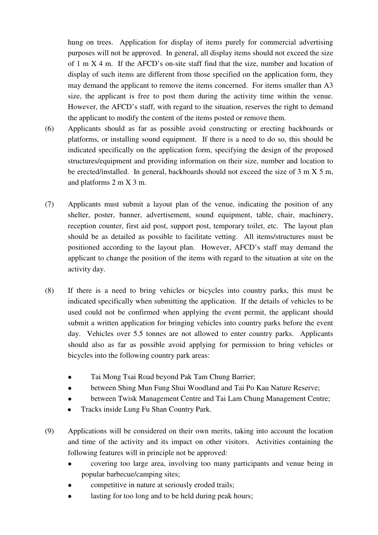hung on trees. Application for display of items purely for commercial advertising purposes will not be approved. In general, all display items should not exceed the size of 1 m X 4 m. If the AFCD's on-site staff find that the size, number and location of display of such items are different from those specified on the application form, they may demand the applicant to remove the items concerned. For items smaller than A3 size, the applicant is free to post them during the activity time within the venue. However, the AFCD's staff, with regard to the situation, reserves the right to demand the applicant to modify the content of the items posted or remove them.

- (6) Applicants should as far as possible avoid constructing or erecting backboards or platforms, or installing sound equipment. If there is a need to do so, this should be indicated specifically on the application form, specifying the design of the proposed structures/equipment and providing information on their size, number and location to be erected/installed. In general, backboards should not exceed the size of 3 m X 5 m, and platforms 2 m X 3 m.
- (7) Applicants must submit a layout plan of the venue, indicating the position of any shelter, poster, banner, advertisement, sound equipment, table, chair, machinery, reception counter, first aid post, support post, temporary toilet, etc. The layout plan should be as detailed as possible to facilitate vetting. All items/structures must be positioned according to the layout plan. However, AFCD's staff may demand the applicant to change the position of the items with regard to the situation at site on the activity day.
- (8) If there is a need to bring vehicles or bicycles into country parks, this must be indicated specifically when submitting the application. If the details of vehicles to be used could not be confirmed when applying the event permit, the applicant should submit a written application for bringing vehicles into country parks before the event day. Vehicles over 5.5 tonnes are not allowed to enter country parks. Applicants should also as far as possible avoid applying for permission to bring vehicles or bicycles into the following country park areas:
	- Tai Mong Tsai Road beyond Pak Tam Chung Barrier;
	- between Shing Mun Fung Shui Woodland and Tai Po Kau Nature Reserve;
	- between Twisk Management Centre and Tai Lam Chung Management Centre;
	- Tracks inside Lung Fu Shan Country Park.
- (9) Applications will be considered on their own merits, taking into account the location and time of the activity and its impact on other visitors. Activities containing the following features will in principle not be approved:
	- covering too large area, involving too many participants and venue being in popular barbecue/camping sites;
	- competitive in nature at seriously eroded trails;
	- lasting for too long and to be held during peak hours;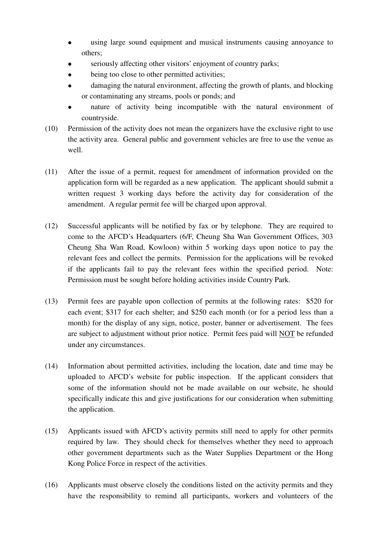- using large sound equipment and musical instruments causing annoyance to others;
- seriously affecting other visitors' enjoyment of country parks;
- being too close to other permitted activities;
- damaging the natural environment, affecting the growth of plants, and blocking or contaminating any streams, pools or ponds; and
- nature of activity being incompatible with the natural environment of countryside.
- (10) Permission of the activity does not mean the organizers have the exclusive right to use the activity area. General public and government vehicles are free to use the venue as well.
- (11) After the issue of a permit, request for amendment of information provided on the application form will be regarded as a new application. The applicant should submit a written request 3 working days before the activity day for consideration of the amendment. A regular permit fee will be charged upon approval.
- (12) Successful applicants will be notified by fax or by telephone. They are required to come to the AFCD's Headquarters (6/F, Cheung Sha Wan Government Offices, 303 Cheung Sha Wan Road, Kowloon) within 5 working days upon notice to pay the relevant fees and collect the permits. Permission for the applications will be revoked if the applicants fail to pay the relevant fees within the specified period. Note: Permission must be sought before holding activities inside Country Park.
- (13) Permit fees are payable upon collection of permits at the following rates: \$520 for each event; \$317 for each shelter; and \$250 each month (or for a period less than a month) for the display of any sign, notice, poster, banner or advertisement. The fees are subject to adjustment without prior notice. Permit fees paid will NOT be refunded under any circumstances.
- (14) Information about permitted activities, including the location, date and time may be uploaded to AFCD's website for public inspection. If the applicant considers that some of the information should not be made available on our website, he should specifically indicate this and give justifications for our consideration when submitting the application.
- (15) Applicants issued with AFCD's activity permits still need to apply for other permits required by law. They should check for themselves whether they need to approach other government departments such as the Water Supplies Department or the Hong Kong Police Force in respect of the activities.
- (16) Applicants must observe closely the conditions listed on the activity permits and they have the responsibility to remind all participants, workers and volunteers of the